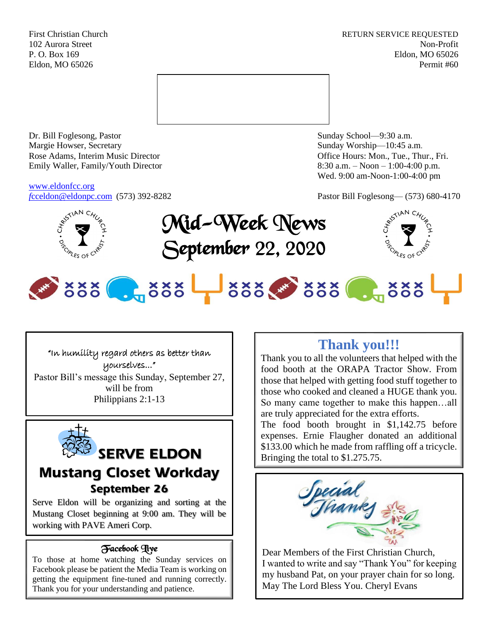First Christian Church **RETURN SERVICE REQUESTED** 102 Aurora Street Non-Profit P. O. Box 169 Eldon, MO 65026 Eldon, MO 65026 Permit #60



Dr. Bill Foglesong, Pastor Sunday School—9:30 a.m. Margie Howser, Secretary Sunday Worship—10:45 a.m. Rose Adams, Interim Music Director **Containers** Controller and Controller Controller Controller Controller and Controller Controller Controller and Controller and Controller and Controller and Controller and Controller and Emily Waller, Family/Youth Director 8:30 a.m. – Noon – 1:00-4:00 p.m.

[www.eldonfcc.org](http://www.eldonfcc.org/)

Wed. 9:00 am-Noon-1:00-4:00 pm

*f*[cceldon@eldonpc.com](mailto:fcceldon@eldonpc.com) (573) 392-8282 Pastor Bill Foglesong— (573) 680-4170



Mid-Week News September 22, 2020



# 888 . 888 - 888 388 . 888

### "In humility regard others as better than yourselves..."

Pastor Bill's message this Sunday, September 27, will be from Philippians 2:1-13



# **SERVE ELDON Mustang Closet Workday September 26**

Serve Eldon will be organizing and sorting at the Mustang Closet beginning at 9:00 am. They will be working with PAVE Ameri Corp.

### Facebook Live

To those at home watching the Sunday services on Facebook please be patient the Media Team is working on getting the equipment fine-tuned and running correctly. Thank you for your understanding and patience.

### **Thank you!!!**

Thank you to all the volunteers that helped with the food booth at the ORAPA Tractor Show. From those that helped with getting food stuff together to those who cooked and cleaned a HUGE thank you. So many came together to make this happen…all are truly appreciated for the extra efforts.

The food booth brought in \$1,142.75 before expenses. Ernie Flaugher donated an additional \$133.00 which he made from raffling off a tricycle. Bringing the total to \$1.275.75.



Dear Members of the First Christian Church, I wanted to write and say "Thank You" for keeping my husband Pat, on your prayer chain for so long. May The Lord Bless You. Cheryl Evans